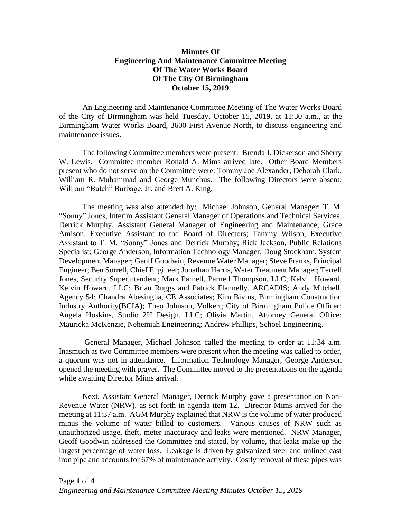## **Minutes Of Engineering And Maintenance Committee Meeting Of The Water Works Board Of The City Of Birmingham October 15, 2019**

An Engineering and Maintenance Committee Meeting of The Water Works Board of the City of Birmingham was held Tuesday, October 15, 2019, at 11:30 a.m., at the Birmingham Water Works Board, 3600 First Avenue North, to discuss engineering and maintenance issues.

The following Committee members were present: Brenda J. Dickerson and Sherry W. Lewis. Committee member Ronald A. Mims arrived late. Other Board Members present who do not serve on the Committee were: Tommy Joe Alexander, Deborah Clark, William R. Muhammad and George Munchus. The following Directors were absent: William "Butch" Burbage, Jr. and Brett A. King.

The meeting was also attended by: Michael Johnson, General Manager; T. M. "Sonny" Jones, Interim Assistant General Manager of Operations and Technical Services; Derrick Murphy, Assistant General Manager of Engineering and Maintenance; Grace Amison, Executive Assistant to the Board of Directors; Tammy Wilson, Executive Assistant to T. M. "Sonny" Jones and Derrick Murphy; Rick Jackson, Public Relations Specialist; George Anderson, Information Technology Manager; Doug Stockham, System Development Manager; Geoff Goodwin, Revenue Water Manager; Steve Franks, Principal Engineer; Ben Sorrell, Chief Engineer; Jonathan Harris, Water Treatment Manager; Terrell Jones, Security Superintendent; Mark Parnell, Parnell Thompson, LLC; Kelvin Howard, Kelvin Howard, LLC; Brian Ruggs and Patrick Flannelly, ARCADIS; Andy Mitchell, Agency 54; Chandra Abesingha, CE Associates; Kim Bivins, Birmingham Construction Industry Authority(BCIA); Theo Johnson, Volkert; City of Birmingham Police Officer; Angela Hoskins, Studio 2H Design, LLC; Olivia Martin, Attorney General Office; Mauricka McKenzie, Nehemiah Engineering; Andrew Phillips, Schoel Engineering.

General Manager, Michael Johnson called the meeting to order at 11:34 a.m. Inasmuch as two Committee members were present when the meeting was called to order, a quorum was not in attendance. Information Technology Manager, George Anderson opened the meeting with prayer. The Committee moved to the presentations on the agenda while awaiting Director Mims arrival.

Next, Assistant General Manager, Derrick Murphy gave a presentation on Non-Revenue Water (NRW), as set forth in agenda item 12. Director Mims arrived for the meeting at 11:37 a.m. AGM Murphy explained that NRW is the volume of water produced minus the volume of water billed to customers. Various causes of NRW such as unauthorized usage, theft, meter inaccuracy and leaks were mentioned. NRW Manager, Geoff Goodwin addressed the Committee and stated, by volume, that leaks make up the largest percentage of water loss. Leakage is driven by galvanized steel and unlined cast iron pipe and accounts for 67% of maintenance activity. Costly removal of these pipes was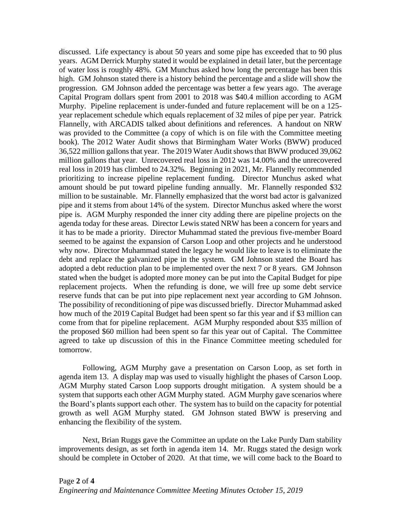discussed. Life expectancy is about 50 years and some pipe has exceeded that to 90 plus years. AGM Derrick Murphy stated it would be explained in detail later, but the percentage of water loss is roughly 48%. GM Munchus asked how long the percentage has been this high. GM Johnson stated there is a history behind the percentage and a slide will show the progression. GM Johnson added the percentage was better a few years ago. The average Capital Program dollars spent from 2001 to 2018 was \$40.4 million according to AGM Murphy. Pipeline replacement is under-funded and future replacement will be on a 125 year replacement schedule which equals replacement of 32 miles of pipe per year. Patrick Flannelly, with ARCADIS talked about definitions and references. A handout on NRW was provided to the Committee (a copy of which is on file with the Committee meeting book). The 2012 Water Audit shows that Birmingham Water Works (BWW) produced 36,522 million gallons that year. The 2019 Water Audit shows that BWW produced 39,062 million gallons that year. Unrecovered real loss in 2012 was 14.00% and the unrecovered real loss in 2019 has climbed to 24.32%. Beginning in 2021, Mr. Flannelly recommended prioritizing to increase pipeline replacement funding. Director Munchus asked what amount should be put toward pipeline funding annually. Mr. Flannelly responded \$32 million to be sustainable. Mr. Flannelly emphasized that the worst bad actor is galvanized pipe and it stems from about 14% of the system. Director Munchus asked where the worst pipe is. AGM Murphy responded the inner city adding there are pipeline projects on the agenda today for these areas. Director Lewis stated NRW has been a concern for years and it has to be made a priority. Director Muhammad stated the previous five-member Board seemed to be against the expansion of Carson Loop and other projects and he understood why now. Director Muhammad stated the legacy he would like to leave is to eliminate the debt and replace the galvanized pipe in the system. GM Johnson stated the Board has adopted a debt reduction plan to be implemented over the next 7 or 8 years. GM Johnson stated when the budget is adopted more money can be put into the Capital Budget for pipe replacement projects. When the refunding is done, we will free up some debt service reserve funds that can be put into pipe replacement next year according to GM Johnson. The possibility of reconditioning of pipe was discussed briefly. Director Muhammad asked how much of the 2019 Capital Budget had been spent so far this year and if \$3 million can come from that for pipeline replacement. AGM Murphy responded about \$35 million of the proposed \$60 million had been spent so far this year out of Capital. The Committee agreed to take up discussion of this in the Finance Committee meeting scheduled for tomorrow.

Following, AGM Murphy gave a presentation on Carson Loop, as set forth in agenda item 13. A display map was used to visually highlight the phases of Carson Loop. AGM Murphy stated Carson Loop supports drought mitigation. A system should be a system that supports each other AGM Murphy stated. AGM Murphy gave scenarios where the Board's plants support each other. The system has to build on the capacity for potential growth as well AGM Murphy stated. GM Johnson stated BWW is preserving and enhancing the flexibility of the system.

Next, Brian Ruggs gave the Committee an update on the Lake Purdy Dam stability improvements design, as set forth in agenda item 14. Mr. Ruggs stated the design work should be complete in October of 2020. At that time, we will come back to the Board to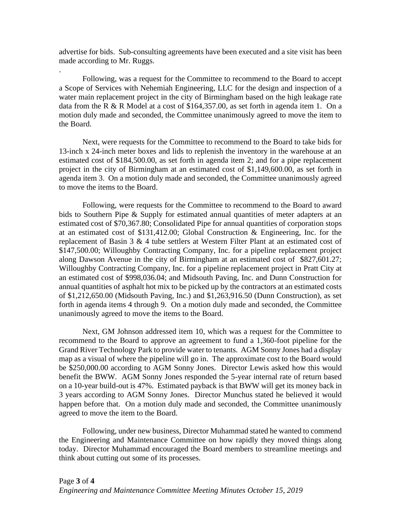advertise for bids. Sub-consulting agreements have been executed and a site visit has been made according to Mr. Ruggs.

.

Following, was a request for the Committee to recommend to the Board to accept a Scope of Services with Nehemiah Engineering, LLC for the design and inspection of a water main replacement project in the city of Birmingham based on the high leakage rate data from the R & R Model at a cost of  $$164,357.00$ , as set forth in agenda item 1. On a motion duly made and seconded, the Committee unanimously agreed to move the item to the Board.

Next, were requests for the Committee to recommend to the Board to take bids for 13-inch x 24-inch meter boxes and lids to replenish the inventory in the warehouse at an estimated cost of \$184,500.00, as set forth in agenda item 2; and for a pipe replacement project in the city of Birmingham at an estimated cost of \$1,149,600.00, as set forth in agenda item 3. On a motion duly made and seconded, the Committee unanimously agreed to move the items to the Board.

Following, were requests for the Committee to recommend to the Board to award bids to Southern Pipe & Supply for estimated annual quantities of meter adapters at an estimated cost of \$70,367.80; Consolidated Pipe for annual quantities of corporation stops at an estimated cost of \$131,412.00; Global Construction & Engineering, Inc. for the replacement of Basin 3 & 4 tube settlers at Western Filter Plant at an estimated cost of \$147,500.00; Willoughby Contracting Company, Inc. for a pipeline replacement project along Dawson Avenue in the city of Birmingham at an estimated cost of \$827,601.27; Willoughby Contracting Company, Inc. for a pipeline replacement project in Pratt City at an estimated cost of \$998,036.04; and Midsouth Paving, Inc. and Dunn Construction for annual quantities of asphalt hot mix to be picked up by the contractors at an estimated costs of \$1,212,650.00 (Midsouth Paving, Inc.) and \$1,263,916.50 (Dunn Construction), as set forth in agenda items 4 through 9. On a motion duly made and seconded, the Committee unanimously agreed to move the items to the Board.

Next, GM Johnson addressed item 10, which was a request for the Committee to recommend to the Board to approve an agreement to fund a 1,360-foot pipeline for the Grand River Technology Park to provide water to tenants. AGM Sonny Jones had a display map as a visual of where the pipeline will go in. The approximate cost to the Board would be \$250,000.00 according to AGM Sonny Jones. Director Lewis asked how this would benefit the BWW. AGM Sonny Jones responded the 5-year internal rate of return based on a 10-year build-out is 47%. Estimated payback is that BWW will get its money back in 3 years according to AGM Sonny Jones. Director Munchus stated he believed it would happen before that. On a motion duly made and seconded, the Committee unanimously agreed to move the item to the Board.

Following, under new business, Director Muhammad stated he wanted to commend the Engineering and Maintenance Committee on how rapidly they moved things along today. Director Muhammad encouraged the Board members to streamline meetings and think about cutting out some of its processes.